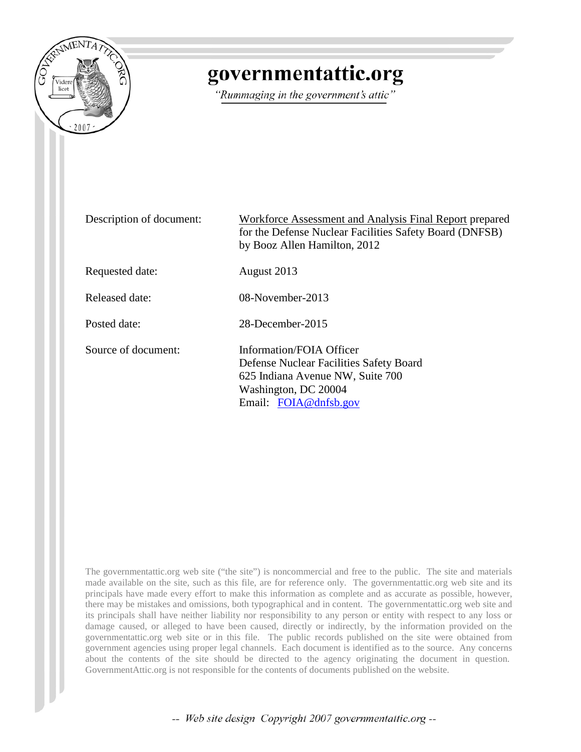

# governmentattic.org

"Rummaging in the government's attic"

| Description of document: | Workforce Assessment and Analysis Final Report prepared<br>for the Defense Nuclear Facilities Safety Board (DNFSB)<br>by Booz Allen Hamilton, 2012       |
|--------------------------|----------------------------------------------------------------------------------------------------------------------------------------------------------|
| Requested date:          | August 2013                                                                                                                                              |
| <b>Released date:</b>    | 08-November-2013                                                                                                                                         |
| Posted date:             | 28-December-2015                                                                                                                                         |
| Source of document:      | Information/FOIA Officer<br>Defense Nuclear Facilities Safety Board<br>625 Indiana Avenue NW, Suite 700<br>Washington, DC 20004<br>Email: FOIA@dnfsb.gov |

The governmentattic.org web site ("the site") is noncommercial and free to the public. The site and materials made available on the site, such as this file, are for reference only. The governmentattic.org web site and its principals have made every effort to make this information as complete and as accurate as possible, however, there may be mistakes and omissions, both typographical and in content. The governmentattic.org web site and its principals shall have neither liability nor responsibility to any person or entity with respect to any loss or damage caused, or alleged to have been caused, directly or indirectly, by the information provided on the governmentattic.org web site or in this file. The public records published on the site were obtained from government agencies using proper legal channels. Each document is identified as to the source. Any concerns about the contents of the site should be directed to the agency originating the document in question. GovernmentAttic.org is not responsible for the contents of documents published on the website.

-- Web site design Copyright 2007 governmentattic.org --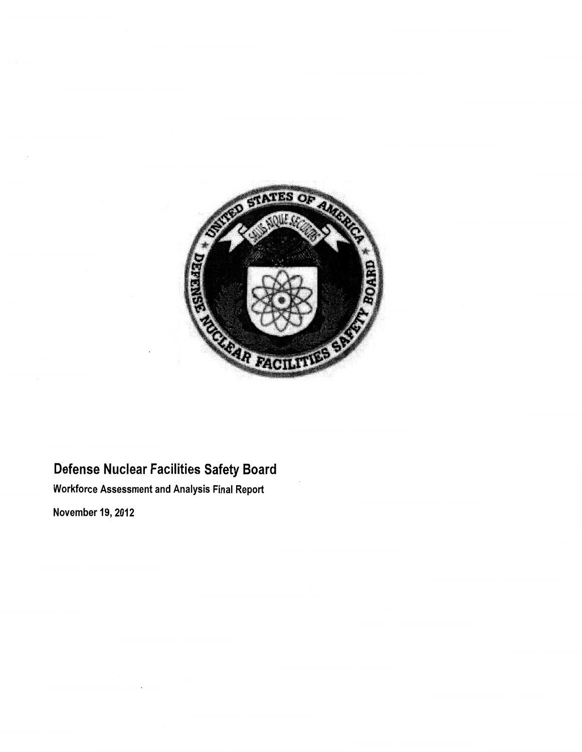

## Defense Nuclear Facilities Safety Board

Workforce Assessment and Analysis Final Report

November 19, 2012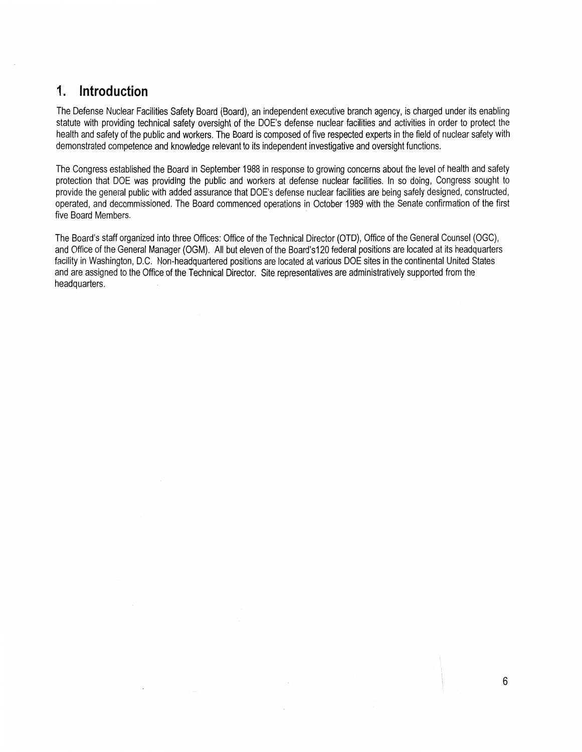### **1. Introduction**

The Defense Nuclear Facilities Safety Board (Board), an independent executive branch agency, is charged under its enabling statute with providing technical safety oversight of the DOE's defense nuclear facilities and activities in order to protect the health and safety of the public and workers. The Board is composed of five respected experts in the field of nuclear safety with demonstrated competence and knowledge relevant to its independent investigative and oversight functions.

The Congress established the Board in September 1988 in response to growing concerns about the level of health and safety protection that DOE was providing the public and workers at defense nuclear facilities. In so doing, Congress sought to provide the general public with added assurance that DOE's defense nuclear facilities are being safely designed, constructed, operated, and decommissioned. The Board commenced operations in October 1989 with the Senate confirmation of the first five Board Members.

The Board's staff organized into three Offices: Office of the Technical Director (OTO), Office of the General Counsel (OGC), and Office of the General Manager (OGM). All but eleven of the Board's120 federal positions are located at its headquarters facility in Washington, D.C. Non-headquartered positions are located at various DOE sites in the continental United States and are assigned to the Office of the Technical Director. Site representatives are administratively supported from the headquarters.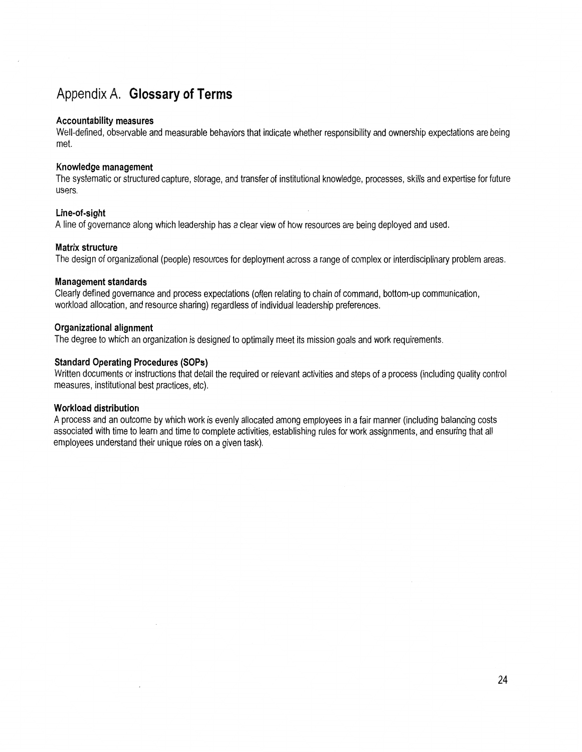## Appendix A. **Glossary of Terms**

#### **Accountability measures**

Well-defined, observable and measurable behaviors that indicate whether responsibility and ownership expectations are being met.

#### **Knowledge management**

The systematic or structured capture, storage, and transfer of institutional knowledge, processes, skills and expertise for future users.

#### **Line-of-sight**

A line of governance along which leadership has a clear view of how resources are being deployed and used.

#### **Matrix structure**

The design of organizational (people) resources for deployment across a range of complex or interdisciplinary problem areas.

#### **Management standards**

Clearly defined governance and process expectations (often relating to chain of command, bottom-up communication, workload allocation, and resource sharing) regardless of individual leadership preferences.

#### **Organizational alignment**

The degree to which an organization is designed to optimally meet its mission goals and work requirements.

#### **Standard Operating Procedures (SOPs)**

Written documents or instructions that detail the required or relevant activities and steps of a process (including quality control measures, institutional best practices, etc).

#### **Workload distribution**

A process and an outcome by which work is evenly allocated among employees in a fair manner (including balancing costs associated with time to learn and time to complete activities, establishing rules for work assignments, and ensuring that all employees understand their unique roles on a given task).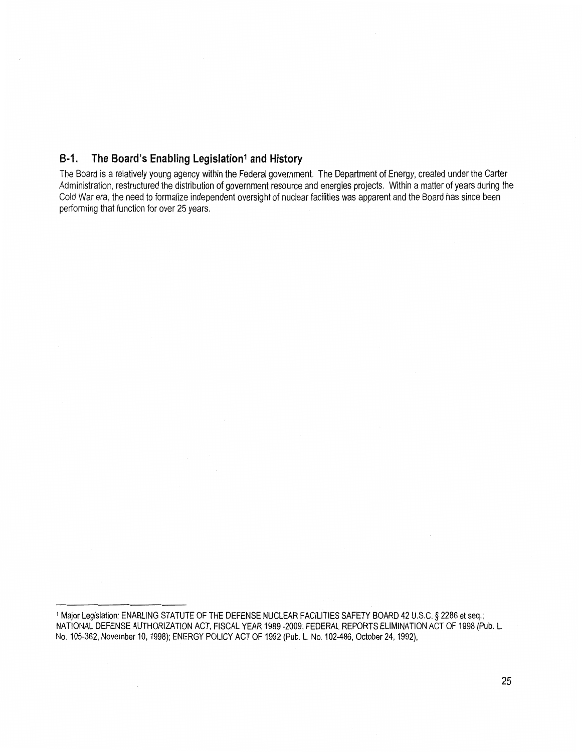### **B-1.** The Board's Enabling Legislation<sup>1</sup> and History

The Board is a relatively young agency within the Federal government. The Department of Energy, created under the Carter Administration, restructured the distribution of government resource and energies projects. Within a matter of years during the Cold War era, the need to formalize independent oversight of nuclear facilities was apparent and the Board has since been performing that function for over 25 years.

<sup>1</sup>Major Legislation: ENABLING STATUTE OF THE DEFENSE NUCLEAR FACILITIES SAFETY BOARD 42 U.S.C. § 2286 et seq.; NATIONAL DEFENSE AUTHORIZATION ACT, FISCAL YEAR 1989 -2009; FEDERAL REPORTS ELIMINATION ACT OF 1998 (Pub. L. No. 105-362, November 10, 1998); ENERGY POLICY ACT OF 1992 (Pub. L. No. 102-486, October 24, 1992),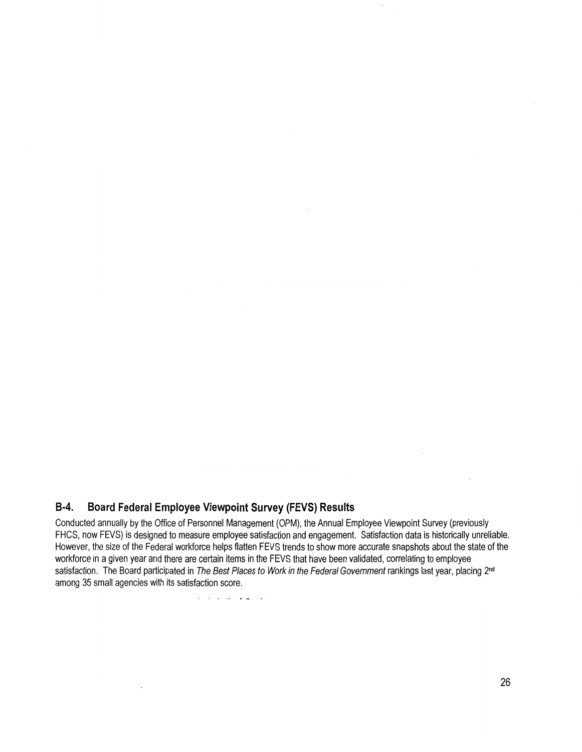### **B-4. Board Federal Employee Viewpoint Survey (FEVS) Results**

Conducted annually by the Office of Personnel Management (OPM), the Annual Employee Viewpoint Survey (previously FHCS, now FEVS) is designed to measure employee satisfaction and engagement. Satisfaction data is historically unreliable. However, the size of the Federal workforce helps flatten FEVS trends to show more accurate snapshots about the state of the workforce in a given year and there are certain items in the FEVS that have been validated, correlating to employee satisfaction. The Board participated in The Best Places to Work in the Federal Government rankings last year, placing 2<sup>nd</sup> among 35 small agencies with its satisfaction score.

الوالي والأمراط المتابع المراجع

÷.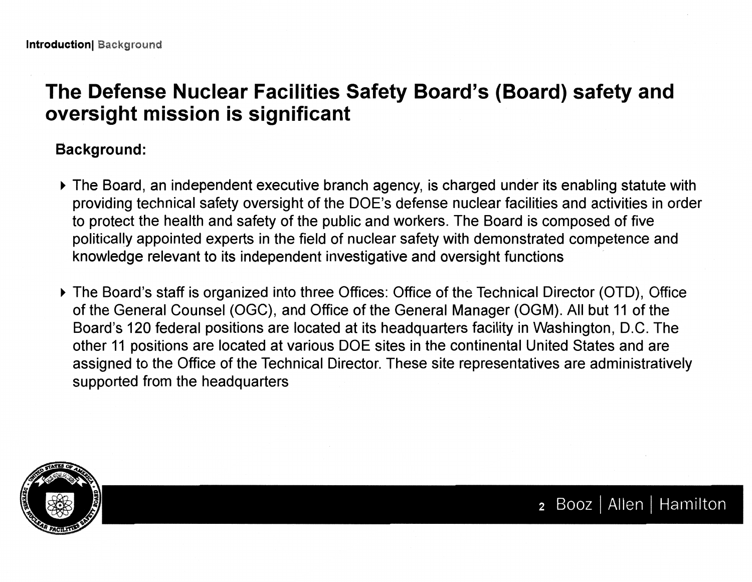# **The Defense Nuclear Facilities Safety Board's (Board) safety and oversight mission is significant**

## **Background:**

- The Board, an independent executive branch agency, is charged under its enabling statute with providing technical safety oversight of the DOE's defense nuclear facilities and activities in order to protect the health and safety of the public and workers. The Board is composed of five politically appointed experts in the field of nuclear safety with demonstrated competence and knowledge relevant to its independent investigative and oversight functions
- The Board's staff is organized into three Offices: Office of the Technical Director (OTO), Office of the General Counsel (OGC), and Office of the General Manager (OGM). All but 11 of the Board's 120 federal positions are located at its headquarters facility in Washington, D.C. The other 11 positions are located at various DOE sites in the continental United States and are assigned to the Office of the Technical Director. These site representatives are administratively supported from the headquarters



2 Booz | Allen | Hamilton